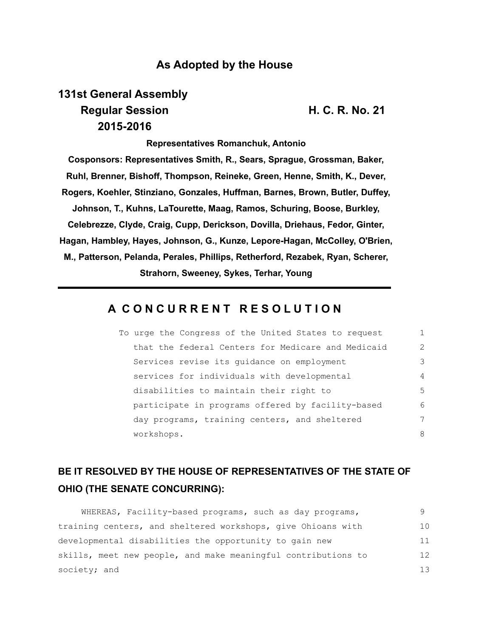## **As Adopted by the House**

# **131st General Assembly Regular Session H. C. R. No. 21 2015-2016**

**Representatives Romanchuk, Antonio Cosponsors: Representatives Smith, R., Sears, Sprague, Grossman, Baker, Ruhl, Brenner, Bishoff, Thompson, Reineke, Green, Henne, Smith, K., Dever, Rogers, Koehler, Stinziano, Gonzales, Huffman, Barnes, Brown, Butler, Duffey, Johnson, T., Kuhns, LaTourette, Maag, Ramos, Schuring, Boose, Burkley, Celebrezze, Clyde, Craig, Cupp, Derickson, Dovilla, Driehaus, Fedor, Ginter, Hagan, Hambley, Hayes, Johnson, G., Kunze, Lepore-Hagan, McColley, O'Brien, M., Patterson, Pelanda, Perales, Phillips, Retherford, Rezabek, Ryan, Scherer, Strahorn, Sweeney, Sykes, Terhar, Young**

## **A C O N C U R R E N T R E S O L U T I O N**

| To urge the Congress of the United States to request |               |
|------------------------------------------------------|---------------|
| that the federal Centers for Medicare and Medicaid   | $\mathcal{P}$ |
| Services revise its guidance on employment           | 3             |
| services for individuals with developmental          | 4             |
| disabilities to maintain their right to              | 5             |
| participate in programs offered by facility-based    | 6             |
| day programs, training centers, and sheltered        | 7             |
| workshops.                                           | 8             |

## **BE IT RESOLVED BY THE HOUSE OF REPRESENTATIVES OF THE STATE OF OHIO (THE SENATE CONCURRING):**

| WHEREAS, Facility-based programs, such as day programs,       |    |
|---------------------------------------------------------------|----|
| training centers, and sheltered workshops, give Ohioans with  | 10 |
| developmental disabilities the opportunity to gain new        | 11 |
| skills, meet new people, and make meaningful contributions to | 12 |
| society; and                                                  | 13 |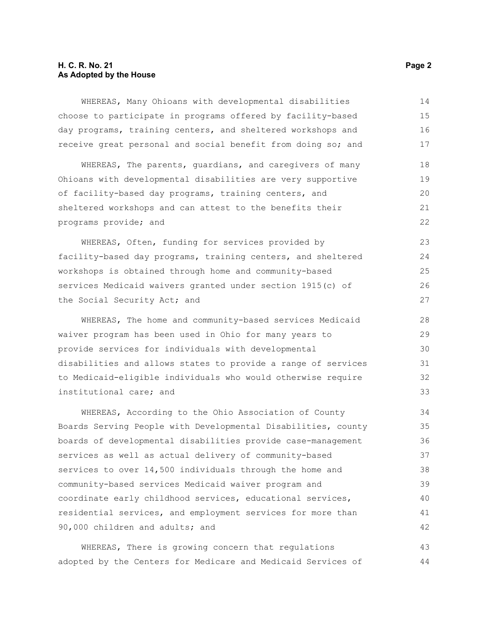### **H. C. R. No. 21 Page 2 As Adopted by the House**

WHEREAS, Many Ohioans with developmental disabilities choose to participate in programs offered by facility-based day programs, training centers, and sheltered workshops and receive great personal and social benefit from doing so; and 14 15 16 17

WHEREAS, The parents, guardians, and caregivers of many Ohioans with developmental disabilities are very supportive of facility-based day programs, training centers, and sheltered workshops and can attest to the benefits their programs provide; and 18 19 20 21 22

WHEREAS, Often, funding for services provided by facility-based day programs, training centers, and sheltered workshops is obtained through home and community-based services Medicaid waivers granted under section 1915(c) of the Social Security Act; and 23 24 25 26 27

WHEREAS, The home and community-based services Medicaid waiver program has been used in Ohio for many years to provide services for individuals with developmental disabilities and allows states to provide a range of services to Medicaid-eligible individuals who would otherwise require institutional care; and 28 29 30 31 32 33

WHEREAS, According to the Ohio Association of County Boards Serving People with Developmental Disabilities, county boards of developmental disabilities provide case-management services as well as actual delivery of community-based services to over 14,500 individuals through the home and community-based services Medicaid waiver program and coordinate early childhood services, educational services, residential services, and employment services for more than 90,000 children and adults; and 34 35 36 37 38 39 40 41 42

WHEREAS, There is growing concern that regulations adopted by the Centers for Medicare and Medicaid Services of 43 44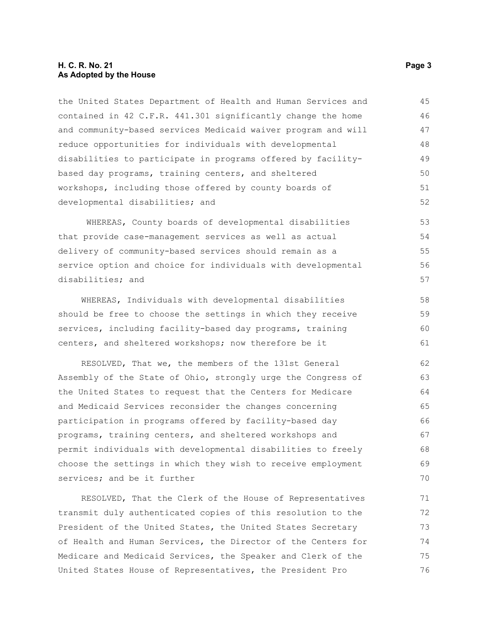#### **H. C. R. No. 21 Page 3 As Adopted by the House**

the United States Department of Health and Human Services and contained in 42 C.F.R. 441.301 significantly change the home and community-based services Medicaid waiver program and will reduce opportunities for individuals with developmental disabilities to participate in programs offered by facilitybased day programs, training centers, and sheltered workshops, including those offered by county boards of developmental disabilities; and 45 46 47 48 49 50 51 52

WHEREAS, County boards of developmental disabilities that provide case-management services as well as actual delivery of community-based services should remain as a service option and choice for individuals with developmental disabilities; and 53 54 55 56 57

WHEREAS, Individuals with developmental disabilities should be free to choose the settings in which they receive services, including facility-based day programs, training centers, and sheltered workshops; now therefore be it

RESOLVED, That we, the members of the 131st General Assembly of the State of Ohio, strongly urge the Congress of the United States to request that the Centers for Medicare and Medicaid Services reconsider the changes concerning participation in programs offered by facility-based day programs, training centers, and sheltered workshops and permit individuals with developmental disabilities to freely choose the settings in which they wish to receive employment services; and be it further 62 63 64 65 66 67 68 69 70

RESOLVED, That the Clerk of the House of Representatives transmit duly authenticated copies of this resolution to the President of the United States, the United States Secretary of Health and Human Services, the Director of the Centers for Medicare and Medicaid Services, the Speaker and Clerk of the United States House of Representatives, the President Pro 71 72 73 74 75 76